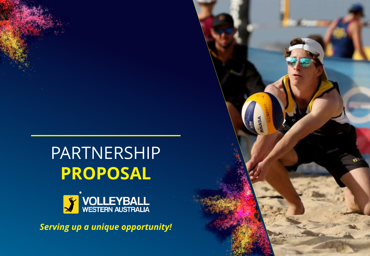# PARTNERSHIP **PROPOSAL**



*Serving up a unique opportunity!*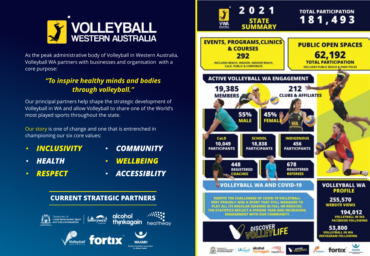

As the peak administrative body of Volleyball in Western Australia, Volleyball WA partners with businesses and organisation with a core purpose:

#### *"To inspire healthy minds and bodies through volleyball."*

Our principal partners help shape the strategic development of Volleyball in WA and allow Volleyball to share one of the World's most played sports throughout the state.

Our story is one of change and one that is entrenched in championing our six core values:

- *INCLUSIVITY COMMUNITY*
- 

- 
- 
- *HEALTH WELLBEING*
- *RESPECT ACCESSIBLITY*



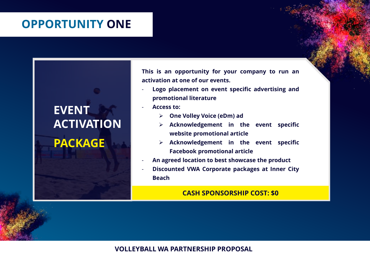### **OPPORTUNITY ONE**

## **EVENT ACTIVATION PACKAGE**

**This is an opportunity for your company to run an activation at one of our events.**

- **Logo placement on event specific advertising and promotional literature**
- **Access to:**
	- ➢ **One Volley Voice (eDm) ad**
	- ➢ **Acknowledgement in the event specific website promotional article**
	- ➢ **Acknowledgement in the event specific Facebook promotional article**
- **An agreed location to best showcase the product**
- **Discounted VWA Corporate packages at Inner City Beach**

#### **CASH SPONSORSHIP COST: \$0**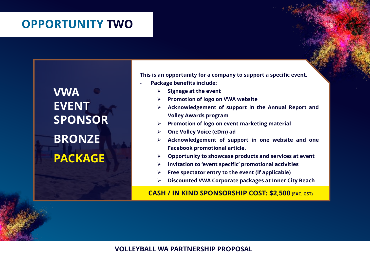### **OPPORTUNITY TWO**

**VWA EVENT SPONSOR BRONZE PACKAGE**

**This is an opportunity for a company to support a specific event.**

- **Package benefits include:**
	- ➢ **Signage at the event**
	- ➢ **Promotion of logo on VWA website**
	- ➢ **Acknowledgement of support in the Annual Report and Volley Awards program**
	- ➢ **Promotion of logo on event marketing material**
	- ➢ **One Volley Voice (eDm) ad**
	- ➢ **Acknowledgement of support in one website and one Facebook promotional article.**
	- ➢ **Opportunity to showcase products and services at event**
	- ➢ **Invitation to 'event specific' promotional activities**
	- ➢ **Free spectator entry to the event (if applicable)**
	- ➢ **Discounted VWA Corporate packages at Inner City Beach**

**CASH / IN KIND SPONSORSHIP COST: \$2,500 (EXC. GST)**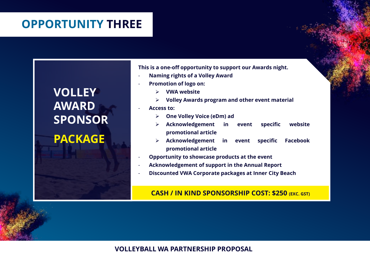## **OPPORTUNITY THREE**

## **VOLLEY AWARD SPONSOR**

**PACKAGE**

**This is a one-off opportunity to support our Awards night.** - **Naming rights of a Volley Award**

- **Promotion of logo on:**
	- ➢ **VWA website**
	- ➢ **Volley Awards program and other event material**
- **Access to:**
	- ➢ **One Volley Voice (eDm) ad**
	- ➢ **Acknowledgement in event specific website promotional article**
	- ➢ **Acknowledgement in event specific Facebook promotional article**
- **Opportunity to showcase products at the event**
- **Acknowledgement of support in the Annual Report**
- **Discounted VWA Corporate packages at Inner City Beach**

#### **CASH / IN KIND SPONSORSHIP COST: \$250 (EXC. GST)**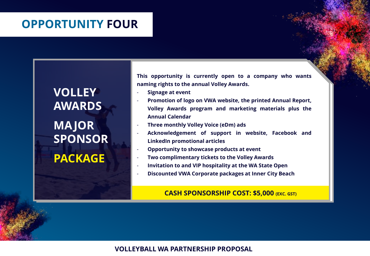### **OPPORTUNITY FOUR**

**VOLLEY AWARDS MAJOR SPONSOR PACKAGE**

**This opportunity is currently open to a company who wants naming rights to the annual Volley Awards.**

- **Signage at event**
- **Promotion of logo on VWA website, the printed Annual Report, Volley Awards program and marketing materials plus the Annual Calendar**
- **Three monthly Volley Voice (eDm) ads**
- **Acknowledgement of support in website, Facebook and LinkedIn promotional articles**
- **Opportunity to showcase products at event**
- **Two complimentary tickets to the Volley Awards**
- **Invitation to and VIP hospitality at the WA State Open**
- **Discounted VWA Corporate packages at Inner City Beach**

#### **CASH SPONSORSHIP COST: \$5,000 (EXC. GST)**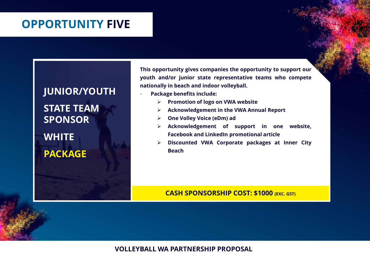### **OPPORTUNITY FIVE**

## **JUNIOR/YOUTH STATE TEAM SPONSOR WHITE PACKAGE**

**This opportunity gives companies the opportunity to support our youth and/or junior state representative teams who compete nationally in beach and indoor volleyball.**

- **Package benefits include:**
	- ➢ **Promotion of logo on VWA website**
	- ➢ **Acknowledgement in the VWA Annual Report**
	- ➢ **One Volley Voice (eDm) ad**
	- ➢ **Acknowledgement of support in one website, Facebook and LinkedIn promotional article**
	- ➢ **Discounted VWA Corporate packages at Inner City Beach**

**CASH SPONSORSHIP COST: \$1000 (EXC. GST)**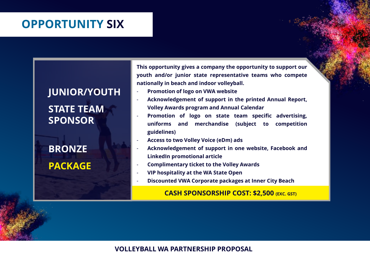## **OPPORTUNITY SIX**

### **JUNIOR/YOUTH**

**STATE TEAM SPONSOR**

**BRONZE PACKAGE**

**This opportunity gives a company the opportunity to support our youth and/or junior state representative teams who compete nationally in beach and indoor volleyball.**

- **Promotion of logo on VWA website**
- **Acknowledgement of support in the printed Annual Report, Volley Awards program and Annual Calendar**
- **Promotion of logo on state team specific advertising, uniforms and merchandise (subject to competition guidelines)**
- **Access to two Volley Voice (eDm) ads**
- **Acknowledgement of support in one website, Facebook and LinkedIn promotional article**
- **Complimentary ticket to the Volley Awards**
- **VIP hospitality at the WA State Open**
- **Discounted VWA Corporate packages at Inner City Beach**

#### **CASH SPONSORSHIP COST: \$2,500 (EXC. GST)**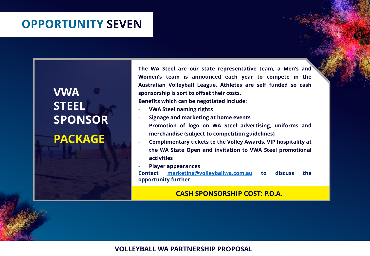### **OPPORTUNITY SEVEN**

## **VWA STEEL SPONSOR PACKAGE**

**The WA Steel are our state representative team, a Men's and Women's team is announced each year to compete in the Australian Volleyball League. Athletes are self funded so cash sponsorship is sort to offset their costs.**

**Benefits which can be negotiated include:**

- **VWA Steel naming rights**
- **Signage and marketing at home events**
- **Promotion of logo on WA Steel advertising, uniforms and merchandise (subject to competition guidelines)**
- **Complimentary tickets to the Volley Awards, VIP hospitality at the WA State Open and invitation to VWA Steel promotional activities**
- **Player appearances**

**Contact [marketing@volleyballwa.com.au](mailto:marketing@volleyballwa.com.au) to discuss the opportunity further..**

#### **CASH SPONSORSHIP COST: P.O.A.**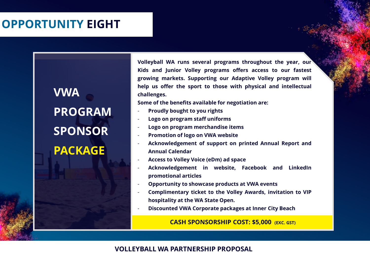## **OPPORTUNITY EIGHT**

**VWA PROGRAM SPONSOR PACKAGE**

**Volleyball WA runs several programs throughout the year, our Kids and Junior Volley programs offers access to our fastest growing markets. Supporting our Adaptive Volley program will help us offer the sport to those with physical and intellectual challenges.**

**Some of the benefits available for negotiation are:**

- **Proudly bought to you rights**
- **Logo on program staff uniforms**
- **Logo on program merchandise items**
- **Promotion of logo on VWA website**
- **Acknowledgement of support on printed Annual Report and Annual Calendar**
- **Access to Volley Voice (eDm) ad space**
- **Acknowledgement in website, Facebook and LinkedIn promotional articles**
- **Opportunity to showcase products at VWA events**
- **Complimentary ticket to the Volley Awards, invitation to VIP hospitality at the WA State Open.**
- **Discounted VWA Corporate packages at Inner City Beach**

**CASH SPONSORSHIP COST: \$5,000 (EXC. GST)**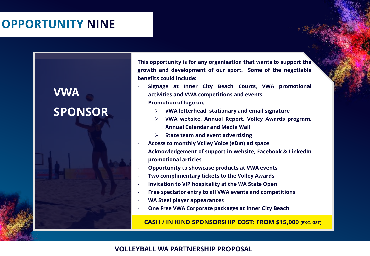## **OPPORTUNITY NINE**

## **VWA SPONSOR**

**This opportunity is for any organisation that wants to support the growth and development of our sport. Some of the negotiable benefits could include:**

- **Signage at Inner City Beach Courts, VWA promotional activities and VWA competitions and events**
- **Promotion of logo on:**
	- ➢ **VWA letterhead, stationary and email signature**
	- ➢ **VWA website, Annual Report, Volley Awards program, Annual Calendar and Media Wall**
	- ➢ **State team and event advertising**
- **Access to monthly Volley Voice (eDm) ad space**
- **Acknowledgement of support in website, Facebook & LinkedIn promotional articles**
- **Opportunity to showcase products at VWA events**
- **Two complimentary tickets to the Volley Awards**
- **Invitation to VIP hospitality at the WA State Open**
- **Free spectator entry to all VWA events and competitions**
- **WA Steel player appearances**
- **One Free VWA Corporate packages at Inner City Beach**

**CASH / IN KIND SPONSORSHIP COST: FROM \$15,000 (EXC. GST)**